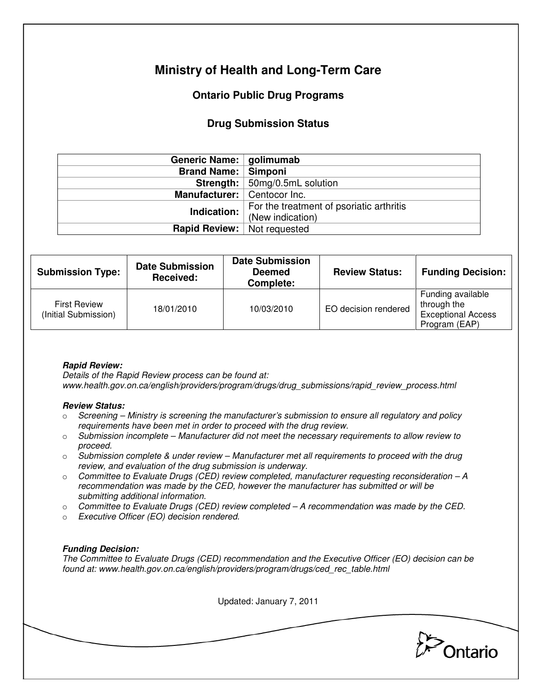# **Ministry of Health and Long-Term Care**

## **Ontario Public Drug Programs**

### **Drug Submission Status**

| Generic Name:   golimumab          |                                          |  |  |
|------------------------------------|------------------------------------------|--|--|
| <b>Brand Name:   Simponi</b>       |                                          |  |  |
|                                    | Strength:   50mg/0.5mL solution          |  |  |
| Manufacturer:   Centocor Inc.      |                                          |  |  |
| Indication:                        | For the treatment of psoriatic arthritis |  |  |
|                                    | (New indication)                         |  |  |
| <b>Rapid Review:</b> Not requested |                                          |  |  |

| <b>Submission Type:</b>                     | <b>Date Submission</b><br>Received: | <b>Date Submission</b><br><b>Deemed</b><br>Complete: | <b>Review Status:</b> | <b>Funding Decision:</b>                                                       |
|---------------------------------------------|-------------------------------------|------------------------------------------------------|-----------------------|--------------------------------------------------------------------------------|
| <b>First Review</b><br>(Initial Submission) | 18/01/2010                          | 10/03/2010                                           | EO decision rendered  | Funding available<br>through the<br><b>Exceptional Access</b><br>Program (EAP) |

### **Rapid Review:**

Details of the Rapid Review process can be found at: www.health.gov.on.ca/english/providers/program/drugs/drug\_submissions/rapid\_review\_process.html

#### **Review Status:**

- $\circ$  Screening Ministry is screening the manufacturer's submission to ensure all regulatory and policy requirements have been met in order to proceed with the drug review.
- $\circ$  Submission incomplete Manufacturer did not meet the necessary requirements to allow review to proceed.
- $\circ$  Submission complete & under review Manufacturer met all requirements to proceed with the drug review, and evaluation of the drug submission is underway.
- $\circ$  Committee to Evaluate Drugs (CED) review completed, manufacturer requesting reconsideration  $-A$ recommendation was made by the CED, however the manufacturer has submitted or will be submitting additional information.
- $\circ$  Committee to Evaluate Drugs (CED) review completed A recommendation was made by the CED.
- o Executive Officer (EO) decision rendered.

### **Funding Decision:**

The Committee to Evaluate Drugs (CED) recommendation and the Executive Officer (EO) decision can be found at: www.health.gov.on.ca/english/providers/program/drugs/ced\_rec\_table.html

Updated: January 7, 2011